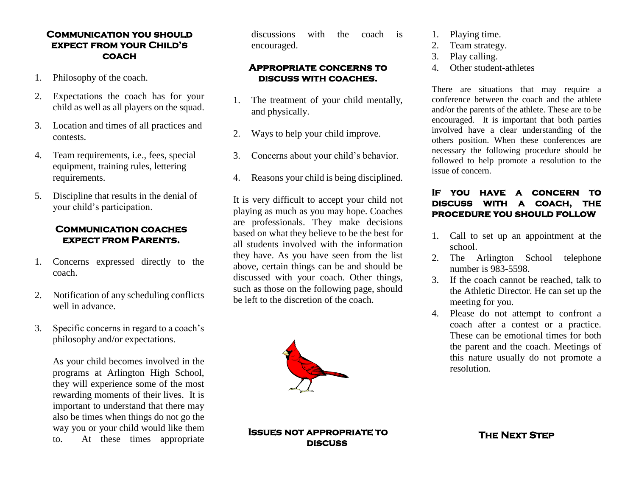### **Communication you should expect from your Child's coach**

- 1. Philosophy of the coach.
- 2. Expectations the coach has for your child as well as all players on the squad.
- 3. Location and times of all practices and contests.
- 4. Team requirements, i.e., fees, special equipment, training rules, lettering requirements.
- 5. Discipline that results in the denial of your child's participation.

# **Communication coaches expect from Parents.**

- 1. Concerns expressed directly to the coach.
- 2. Notification of any scheduling conflicts well in advance.
- 3. Specific concerns in regard to a coach's philosophy and/or expectations.

As your child becomes involved in the programs at Arlington High School, they will experience some of the most rewarding moments of their lives. It is important to understand that there may also be times when things do not go the way you or your child would like them to. At these times appropriate

discussions with the coach is encouraged.

#### **Appropriate concerns to discuss with coaches.**

- 1. The treatment of your child mentally, and physically.
- 2. Ways to help your child improve.
- 3. Concerns about your child's behavior.
- 4. Reasons your child is being disciplined.

It is very difficult to accept your child not playing as much as you may hope. Coaches are professionals. They make decisions based on what they believe to be the best for all students involved with the information they have. As you have seen from the list above, certain things can be and should be discussed with your coach. Other things, such as those on the following page, should be left to the discretion of the coach.



#### **Issues not appropriate to discuss**

- 1. Playing time.
- 2. Team strategy.
- 3. Play calling.
- 4. Other student-athletes

There are situations that may require a conference between the coach and the athlete and/or the parents of the athlete. These are to be encouraged. It is important that both parties involved have a clear understanding of the others position. When these conferences are necessary the following procedure should be followed to help promote a resolution to the issue of concern.

# **If you have a concern to discuss with a coach, the procedure you should follow**

- 1. Call to set up an appointment at the school.
- 2. The Arlington School telephone number is 983-5598.
- 3. If the coach cannot be reached, talk to the Athletic Director. He can set up the meeting for you.
- 4. Please do not attempt to confront a coach after a contest or a practice. These can be emotional times for both the parent and the coach. Meetings of this nature usually do not promote a resolution.

**The Next Step**